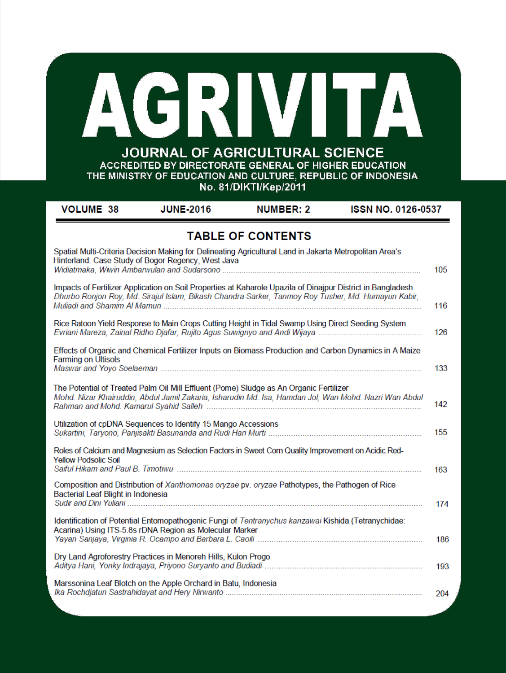| 1 R I<br><b>JOURNAL OF AGRICULTURAL SCIENCE</b><br>ACCREDITED BY DIRECTORATE GENERAL OF HIGHER EDUCATION<br>THE MINISTRY OF EDUCATION AND CULTURE, REPUBLIC OF INDONESIA<br>No. 81/DIKTI/Kep/2011 |                                                                                                                                                                                                                   |                          |                           |     |
|---------------------------------------------------------------------------------------------------------------------------------------------------------------------------------------------------|-------------------------------------------------------------------------------------------------------------------------------------------------------------------------------------------------------------------|--------------------------|---------------------------|-----|
| <b>VOLUME 38</b>                                                                                                                                                                                  | <b>JUNE-2016</b>                                                                                                                                                                                                  | <b>NUMBER: 2</b>         | <b>ISSN NO. 0126-0537</b> |     |
|                                                                                                                                                                                                   | Spatial Multi-Criteria Decision Making for Delineating Agricultural Land in Jakarta Metropolitan Area's<br>Hinterland: Case Study of Bogor Regency, West Java                                                     | <b>TABLE OF CONTENTS</b> |                           | 105 |
|                                                                                                                                                                                                   | Impacts of Fertilizer Application on Soil Properties at Kaharole Upazila of Dinajpur District in Bangladesh<br>Dhurbo Ronjon Roy, Md. Sirajul Islam, Bikash Chandra Sarker, Tanmoy Roy Tusher, Md. Humayun Kabir, |                          |                           | 116 |
|                                                                                                                                                                                                   | Rice Ratoon Yield Response to Main Crops Cutting Height in Tidal Swamp Using Direct Seeding System                                                                                                                |                          |                           | 126 |
| <b>Farming on Ultisols</b>                                                                                                                                                                        | Effects of Organic and Chemical Fertilizer Inputs on Biomass Production and Carbon Dynamics in A Maize                                                                                                            |                          |                           | 133 |
|                                                                                                                                                                                                   | The Potential of Treated Palm Oil Mill Effluent (Pome) Sludge as An Organic Fertilizer<br>Mohd. Nizar Khairuddin, Abdul Jamil Zakaria, Isharudin Md. Isa, Hamdan Jol, Wan Mohd. Nazri Wan Abdul                   |                          |                           | 142 |
|                                                                                                                                                                                                   | Utilization of cpDNA Sequences to Identify 15 Mango Accessions<br>Sukartini, Taryono, Panjisakti Basunanda and Rudi Hari Murti ……………………………………………………                                                               |                          |                           | 155 |
| <b>Yellow Podsolic Soil</b>                                                                                                                                                                       | Roles of Calcium and Magnesium as Selection Factors in Sweet Corn Quality Improvement on Acidic Red-                                                                                                              |                          |                           | 163 |
| Bacterial Leaf Blight in Indonesia                                                                                                                                                                | Composition and Distribution of Xanthomonas oryzae pv. oryzae Pathotypes, the Pathogen of Rice                                                                                                                    |                          |                           | 174 |
|                                                                                                                                                                                                   | Identification of Potential Entomopathogenic Fungi of Tentranychus kanzawai Kishida (Tetranychidae:                                                                                                               |                          |                           |     |

186 Dry Land Agroforestry Practices in Menoreh Hills, Kulon Progo 193 204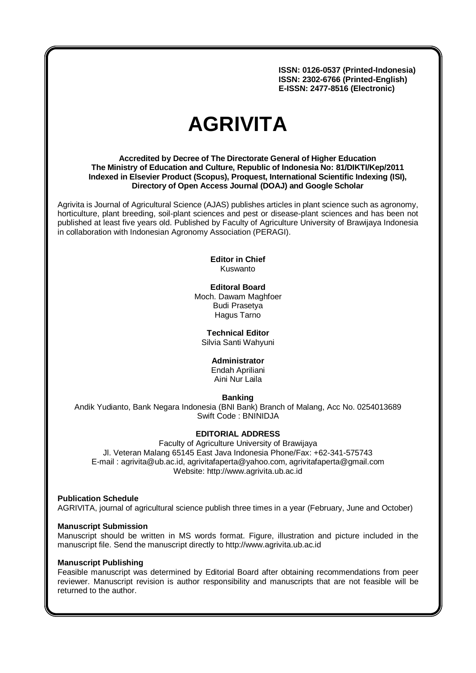**ISSN: 0126-0537 (Printed-Indonesia) ISSN: 2302-6766 (Printed-English) E-ISSN: 2477-8516 (Electronic)**

# **AGRIVITA**

**Accredited by Decree of The Directorate General of Higher Education The Ministry of Education and Culture, Republic of Indonesia No: 81/DIKTI/Kep/2011 Indexed in Elsevier Product (Scopus), Proquest, International Scientific Indexing (ISI), Directory of Open Access Journal (DOAJ) and Google Scholar**

Agrivita is Journal of Agricultural Science (AJAS) publishes articles in plant science such as agronomy, horticulture, plant breeding, soil-plant sciences and pest or disease-plant sciences and has been not published at least five years old. Published by Faculty of Agriculture University of Brawijaya Indonesia in collaboration with Indonesian Agronomy Association (PERAGI).

#### **Editor in Chief** Kuswanto

# **Editoral Board**

Moch. Dawam Maghfoer Budi Prasetya Hagus Tarno

**Technical Editor**

Silvia Santi Wahyuni

## **Administrator**

Endah Apriliani Aini Nur Laila

# **Banking**

Andik Yudianto, Bank Negara Indonesia (BNI Bank) Branch of Malang, Acc No. 0254013689 Swift Code : BNINIDJA

## **EDITORIAL ADDRESS**

Faculty of Agriculture University of Brawijaya Jl. Veteran Malang 65145 East Java Indonesia Phone/Fax: +62-341-575743 E-mail : [agrivita@ub.ac.id,](mailto:agrivita@ub.ac.id) [agrivitafaperta@yahoo.com](mailto:agrivitafaperta@yahoo.com), [agrivitafaperta@gmail.com](mailto:agrivitafaperta@gmail.com) Website: http://www.agrivita.ub.ac.id

**Publication Schedule** AGRIVITA, journal of agricultural science publish three times in a year (February, June and October)

## **Manuscript Submission**

Manuscript should be written in MS words format. Figure, illustration and picture included in the manuscript file. Send the manuscript directly to http://www.agrivita.ub.ac.id

## **Manuscript Publishing**

Feasible manuscript was determined by Editorial Board after obtaining recommendations from peer reviewer. Manuscript revision is author responsibility and manuscripts that are not feasible will be returned to the author.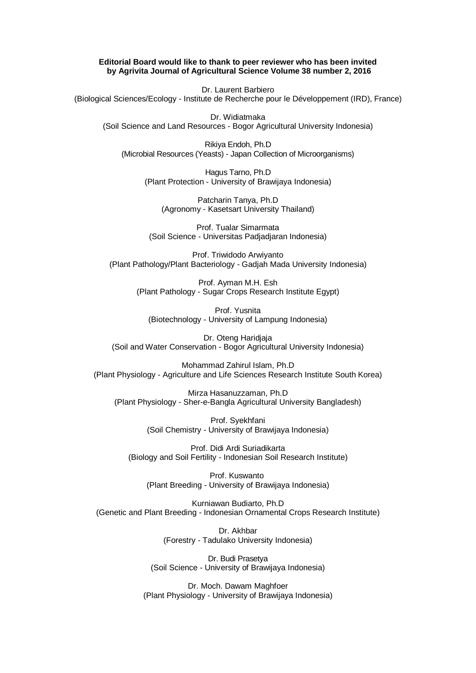#### **Editorial Board would like to thank to peer reviewer who has been invited by Agrivita Journal of Agricultural Science Volume 38 number 2, 2016**

Dr. Laurent Barbiero (Biological Sciences/Ecology - Institute de Recherche pour le Développement (IRD), France)

Dr. Widiatmaka (Soil Science and Land Resources - Bogor Agricultural University Indonesia)

Rikiya Endoh, Ph.D (Microbial Resources (Yeasts) - Japan Collection of Microorganisms)

> Hagus Tarno, Ph.D (Plant Protection - University of Brawijaya Indonesia)

Patcharin Tanya, Ph.D (Agronomy - Kasetsart University Thailand)

Prof. Tualar Simarmata (Soil Science - Universitas Padjadjaran Indonesia)

Prof. Triwidodo Arwiyanto (Plant Pathology/Plant Bacteriology - Gadjah Mada University Indonesia)

> Prof. Ayman M.H. Esh (Plant Pathology - Sugar Crops Research Institute Egypt)

Prof. Yusnita (Biotechnology - University of Lampung Indonesia)

Dr. Oteng Haridjaja (Soil and Water Conservation - Bogor Agricultural University Indonesia)

Mohammad Zahirul Islam, Ph.D (Plant Physiology - Agriculture and Life Sciences Research Institute South Korea)

Mirza Hasanuzzaman, Ph.D (Plant Physiology - Sher-e-Bangla Agricultural University Bangladesh)

> Prof. Syekhfani (Soil Chemistry - University of Brawijaya Indonesia)

Prof. Didi Ardi Suriadikarta (Biology and Soil Fertility - Indonesian Soil Research Institute)

Prof. Kuswanto (Plant Breeding - University of Brawijaya Indonesia)

Kurniawan Budiarto, Ph.D (Genetic and Plant Breeding - Indonesian Ornamental Crops Research Institute)

> Dr. Akhbar (Forestry - Tadulako University Indonesia)

Dr. Budi Prasetya (Soil Science - University of Brawijaya Indonesia)

Dr. Moch. Dawam Maghfoer (Plant Physiology - University of Brawijaya Indonesia)